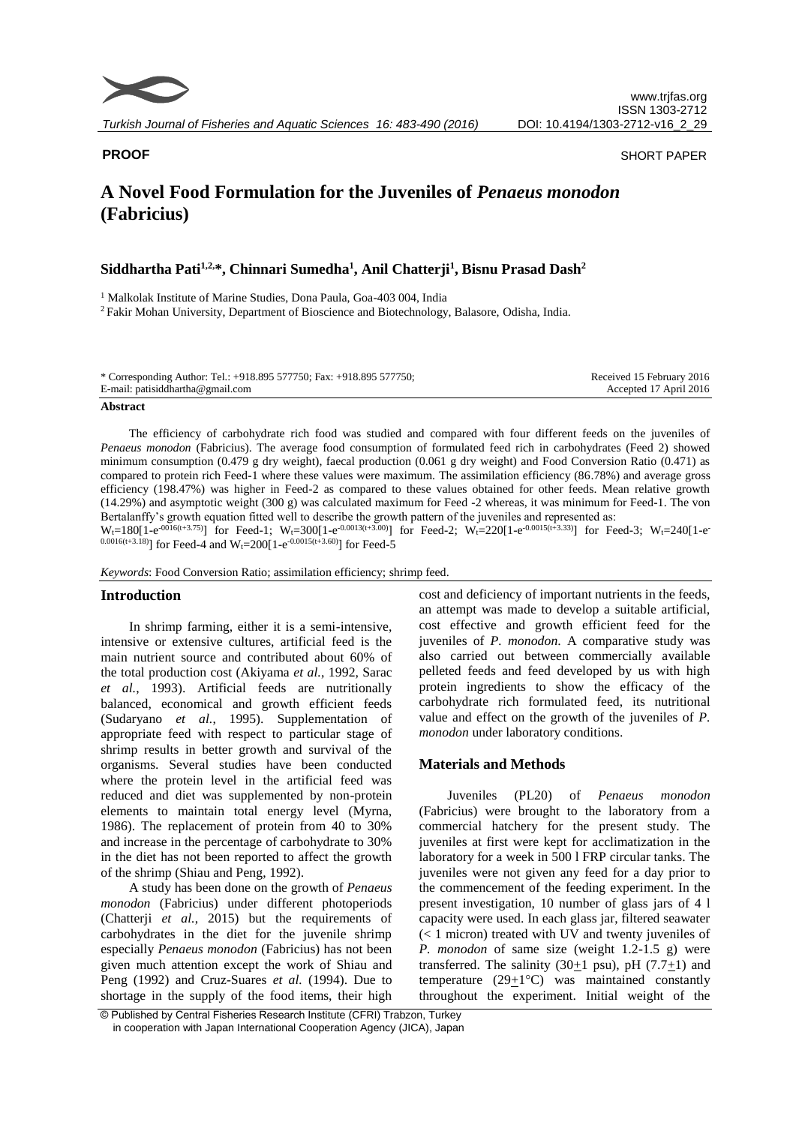

**PROOF** SHORT PAPER

# **A Novel Food Formulation for the Juveniles of** *Penaeus monodon* **(Fabricius)**

## **Siddhartha Pati1,2,\*, Chinnari Sumedha<sup>1</sup> , Anil Chatterji<sup>1</sup> , Bisnu Prasad Dash<sup>2</sup>**

<sup>1</sup> Malkolak Institute of Marine Studies, Dona Paula, Goa-403 004, India

<sup>2</sup> Fakir Mohan University, Department of Bioscience and Biotechnology, Balasore, Odisha, India.

| * Corresponding Author: Tel.: +918.895 577750; Fax: +918.895 577750; | Received 15 February 2016 |
|----------------------------------------------------------------------|---------------------------|
| E-mail: patisiddhartha@gmail.com                                     | Accepted 17 April 2016    |

#### **Abstract**

The efficiency of carbohydrate rich food was studied and compared with four different feeds on the juveniles of *Penaeus monodon* (Fabricius). The average food consumption of formulated feed rich in carbohydrates (Feed 2) showed minimum consumption (0.479 g dry weight), faecal production (0.061 g dry weight) and Food Conversion Ratio (0.471) as compared to protein rich Feed-1 where these values were maximum. The assimilation efficiency (86.78%) and average gross efficiency (198.47%) was higher in Feed-2 as compared to these values obtained for other feeds. Mean relative growth (14.29%) and asymptotic weight (300 g) was calculated maximum for Feed -2 whereas, it was minimum for Feed-1. The von Bertalanffy's growth equation fitted well to describe the growth pattern of the juveniles and represented as:

 $W_t=180[1-e^{-0.016(t+3.75)}]$  for Feed-1;  $W_t=300[1-e^{-0.0013(t+3.00)}]$  for Feed-2;  $W_t=220[1-e^{-0.0015(t+3.33)}]$  for Feed-3;  $W_t=240[1-e^{-0.0015(t+3.33)}]$  $^{0.0016(t+3.18)}$ ] for Feed-4 and W<sub>t</sub>=200[1-e<sup>-0.0015(t+3.60)</sup>] for Feed-5

*Keywords*: Food Conversion Ratio; assimilation efficiency; shrimp feed.

### **Introduction**

In shrimp farming, either it is a semi-intensive, intensive or extensive cultures, artificial feed is the main nutrient source and contributed about 60% of the total production cost (Akiyama *et al.*, 1992, Sarac *et al.*, 1993). Artificial feeds are nutritionally balanced, economical and growth efficient feeds (Sudaryano *et al.*, 1995). Supplementation of appropriate feed with respect to particular stage of shrimp results in better growth and survival of the organisms. Several studies have been conducted where the protein level in the artificial feed was reduced and diet was supplemented by non-protein elements to maintain total energy level (Myrna, 1986). The replacement of protein from 40 to 30% and increase in the percentage of carbohydrate to 30% in the diet has not been reported to affect the growth of the shrimp (Shiau and Peng, 1992).

A study has been done on the growth of *Penaeus monodon* (Fabricius) under different photoperiods (Chatterji *et al.*, 2015) but the requirements of carbohydrates in the diet for the juvenile shrimp especially *Penaeus monodon* (Fabricius) has not been given much attention except the work of Shiau and Peng (1992) and Cruz-Suares *et al.* (1994). Due to shortage in the supply of the food items, their high

cost and deficiency of important nutrients in the feeds, an attempt was made to develop a suitable artificial, cost effective and growth efficient feed for the juveniles of *P. monodon*. A comparative study was also carried out between commercially available pelleted feeds and feed developed by us with high protein ingredients to show the efficacy of the carbohydrate rich formulated feed, its nutritional value and effect on the growth of the juveniles of *P. monodon* under laboratory conditions.

### **Materials and Methods**

Juveniles (PL20) of *Penaeus monodon* (Fabricius) were brought to the laboratory from a commercial hatchery for the present study. The juveniles at first were kept for acclimatization in the laboratory for a week in 500 l FRP circular tanks. The juveniles were not given any feed for a day prior to the commencement of the feeding experiment. In the present investigation, 10 number of glass jars of 4 l capacity were used. In each glass jar, filtered seawater (< 1 micron) treated with UV and twenty juveniles of *P. monodon* of same size (weight 1.2-1.5 g) were transferred. The salinity (30 $\pm$ 1 psu), pH (7.7 $\pm$ 1) and temperature  $(29+1)$ °C) was maintained constantly throughout the experiment. Initial weight of the

<sup>©</sup> Published by Central Fisheries Research Institute (CFRI) Trabzon, Turkey in cooperation with Japan International Cooperation Agency (JICA), Japan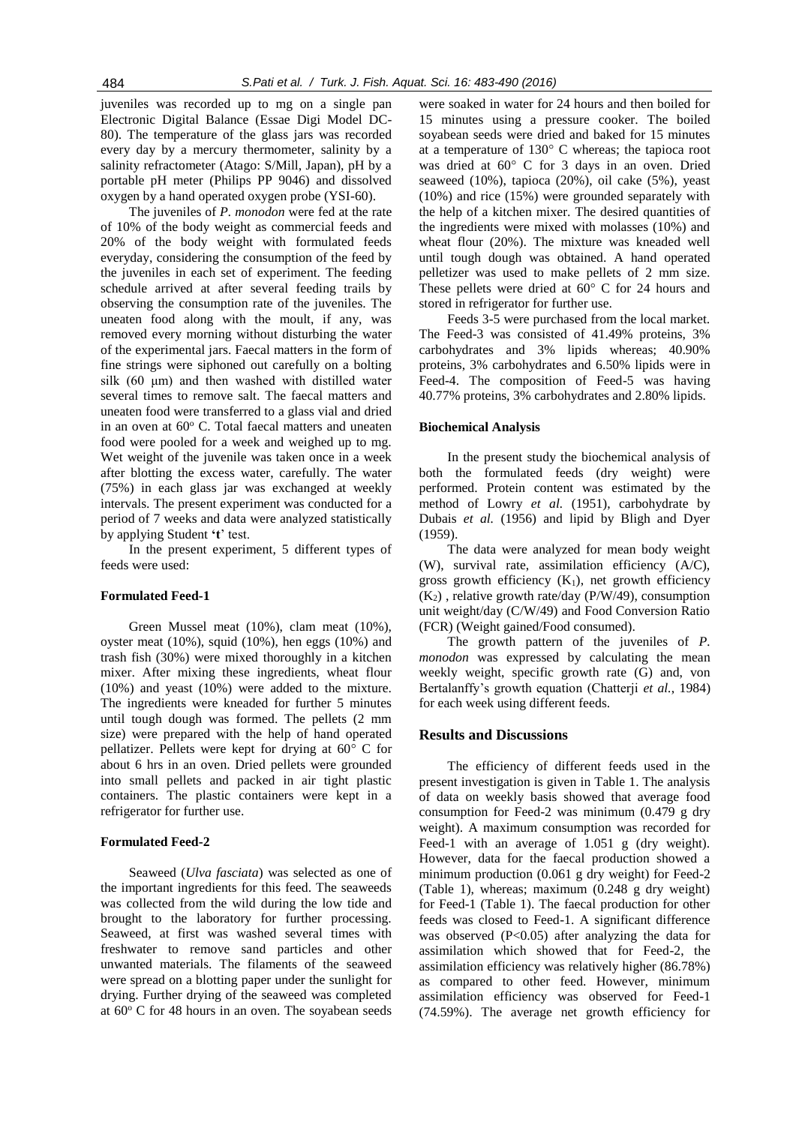juveniles was recorded up to mg on a single pan Electronic Digital Balance (Essae Digi Model DC-80). The temperature of the glass jars was recorded every day by a mercury thermometer, salinity by a salinity refractometer (Atago: S/Mill, Japan), pH by a portable pH meter (Philips PP 9046) and dissolved oxygen by a hand operated oxygen probe (YSI-60).

The juveniles of *P. monodon* were fed at the rate of 10% of the body weight as commercial feeds and 20% of the body weight with formulated feeds everyday, considering the consumption of the feed by the juveniles in each set of experiment. The feeding schedule arrived at after several feeding trails by observing the consumption rate of the juveniles. The uneaten food along with the moult, if any, was removed every morning without disturbing the water of the experimental jars. Faecal matters in the form of fine strings were siphoned out carefully on a bolting silk (60 μm) and then washed with distilled water several times to remove salt. The faecal matters and uneaten food were transferred to a glass vial and dried in an oven at  $60^{\circ}$  C. Total faecal matters and uneaten food were pooled for a week and weighed up to mg. Wet weight of the juvenile was taken once in a week after blotting the excess water, carefully. The water (75%) in each glass jar was exchanged at weekly intervals. The present experiment was conducted for a period of 7 weeks and data were analyzed statistically by applying Student **'t**' test.

In the present experiment, 5 different types of feeds were used:

### **Formulated Feed-1**

Green Mussel meat (10%), clam meat (10%), oyster meat (10%), squid (10%), hen eggs (10%) and trash fish (30%) were mixed thoroughly in a kitchen mixer. After mixing these ingredients, wheat flour (10%) and yeast (10%) were added to the mixture. The ingredients were kneaded for further 5 minutes until tough dough was formed. The pellets (2 mm size) were prepared with the help of hand operated pellatizer. Pellets were kept for drying at 60° C for about 6 hrs in an oven. Dried pellets were grounded into small pellets and packed in air tight plastic containers. The plastic containers were kept in a refrigerator for further use.

#### **Formulated Feed-2**

Seaweed (*Ulva fasciata*) was selected as one of the important ingredients for this feed. The seaweeds was collected from the wild during the low tide and brought to the laboratory for further processing. Seaweed, at first was washed several times with freshwater to remove sand particles and other unwanted materials. The filaments of the seaweed were spread on a blotting paper under the sunlight for drying. Further drying of the seaweed was completed at  $60^{\circ}$  C for 48 hours in an oven. The soyabean seeds were soaked in water for 24 hours and then boiled for 15 minutes using a pressure cooker. The boiled soyabean seeds were dried and baked for 15 minutes at a temperature of 130° C whereas; the tapioca root was dried at 60° C for 3 days in an oven. Dried seaweed (10%), tapioca (20%), oil cake (5%), yeast (10%) and rice (15%) were grounded separately with the help of a kitchen mixer. The desired quantities of the ingredients were mixed with molasses (10%) and wheat flour (20%). The mixture was kneaded well until tough dough was obtained. A hand operated pelletizer was used to make pellets of 2 mm size. These pellets were dried at 60° C for 24 hours and stored in refrigerator for further use.

Feeds 3-5 were purchased from the local market. The Feed-3 was consisted of 41.49% proteins, 3% carbohydrates and 3% lipids whereas; 40.90% proteins, 3% carbohydrates and 6.50% lipids were in Feed-4. The composition of Feed-5 was having 40.77% proteins, 3% carbohydrates and 2.80% lipids.

#### **Biochemical Analysis**

In the present study the biochemical analysis of both the formulated feeds (dry weight) were performed. Protein content was estimated by the method of Lowry *et al.* (1951), carbohydrate by Dubais *et al.* (1956) and lipid by Bligh and Dyer (1959).

The data were analyzed for mean body weight (W), survival rate, assimilation efficiency (A/C), gross growth efficiency  $(K_1)$ , net growth efficiency  $(K<sub>2</sub>)$ , relative growth rate/day (P/W/49), consumption unit weight/day (C/W/49) and Food Conversion Ratio (FCR) (Weight gained/Food consumed).

The growth pattern of the juveniles of *P. monodon* was expressed by calculating the mean weekly weight, specific growth rate (G) and, von Bertalanffy's growth equation (Chatterji *et al.*, 1984) for each week using different feeds.

#### **Results and Discussions**

The efficiency of different feeds used in the present investigation is given in Table 1. The analysis of data on weekly basis showed that average food consumption for Feed-2 was minimum (0.479 g dry weight). A maximum consumption was recorded for Feed-1 with an average of 1.051 g (dry weight). However, data for the faecal production showed a minimum production (0.061 g dry weight) for Feed-2 (Table 1), whereas; maximum (0.248 g dry weight) for Feed-1 (Table 1). The faecal production for other feeds was closed to Feed-1. A significant difference was observed  $(P<0.05)$  after analyzing the data for assimilation which showed that for Feed-2, the assimilation efficiency was relatively higher (86.78%) as compared to other feed. However, minimum assimilation efficiency was observed for Feed-1 (74.59%). The average net growth efficiency for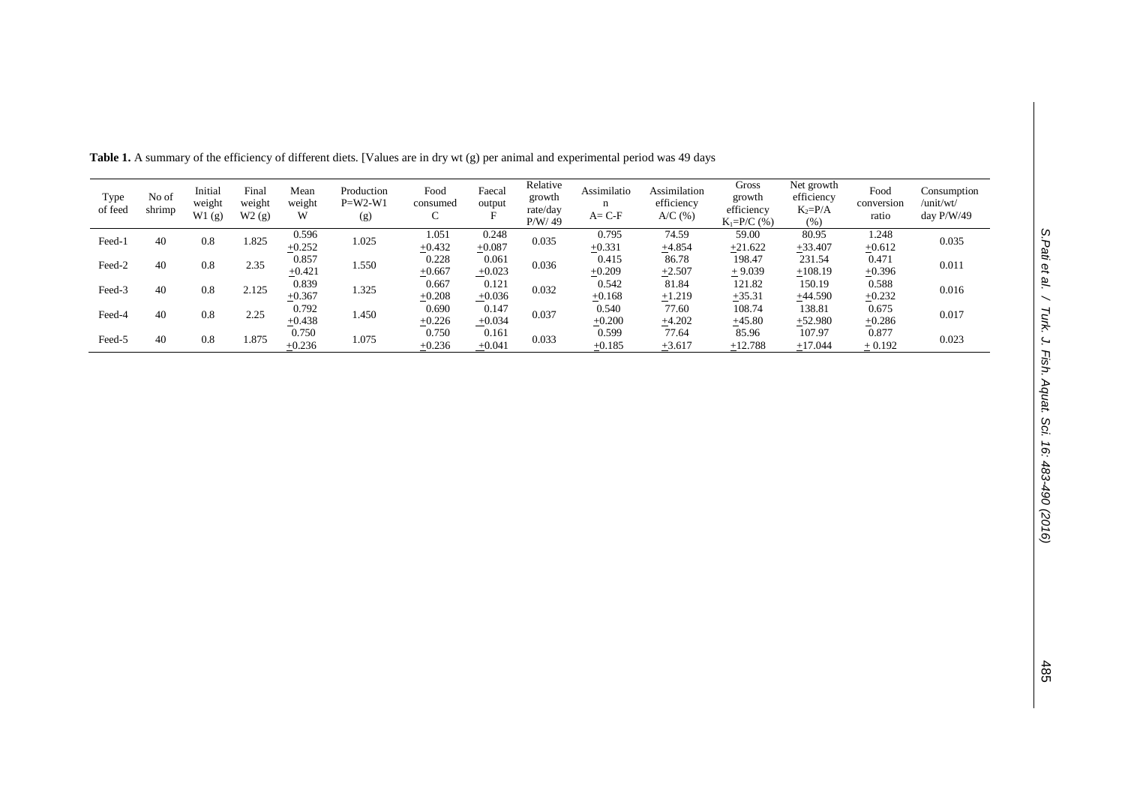| Type<br>of feed | No of<br>shrimp | Initial<br>weight<br>W1(g) | Final<br>weight<br>W2(g) | Mean<br>weight<br>W | Production<br>$P=W2-W1$<br>(g) | Food<br>consumed<br>◡ | Faecal<br>output<br>Е | Relative<br>growth<br>rate/day<br>P/W/49 | Assimilatio<br>n<br>$A = C - F$ | Assimilation<br>efficiency<br>$A/C$ $(\% )$ | Gross<br>growth<br>efficiency<br>$K_1 = P/C$ (%) | Net growth<br>efficiency<br>$K_2 = P/A$<br>(% ) | Food<br>conversion<br>ratio | Consumption<br>/unit/wt/<br>day $P/W/49$ |
|-----------------|-----------------|----------------------------|--------------------------|---------------------|--------------------------------|-----------------------|-----------------------|------------------------------------------|---------------------------------|---------------------------------------------|--------------------------------------------------|-------------------------------------------------|-----------------------------|------------------------------------------|
| Feed-1          | 40              | 0.8                        | 1.825                    | 0.596<br>$+0.252$   | 1.025                          | 1.051<br>$+0.432$     | 0.248<br>$+0.087$     | 0.035                                    | 0.795<br>$+0.331$               | 74.59                                       | 59.00<br>$+21.622$                               | 80.95<br>$+33.407$                              | 1.248<br>$+0.612$           | 0.035                                    |
|                 |                 |                            |                          | 0.857               |                                | 0.228                 | 0.061                 |                                          | 0.415                           | $+4.854$<br>86.78                           | 198.47                                           | 231.54                                          | 0.471                       |                                          |
| Feed-2          | 40              | 0.8                        | 2.35                     | $+0.421$            | 1.550                          | $+0.667$              | $+0.023$              | 0.036                                    | $+0.209$                        | $+2.507$                                    | $+9.039$                                         | $+108.19$                                       | $+0.396$                    | 0.011                                    |
| Feed-3          | 40              | 0.8                        | 2.125                    | 0.839               | .325                           | 0.667                 | 0.121                 | 0.032                                    | 0.542                           | 81.84                                       | 121.82                                           | 150.19                                          | 0.588                       | 0.016                                    |
|                 |                 |                            |                          | $+0.367$            |                                | $+0.208$              | $+0.036$              |                                          | $+0.168$                        | $+1.219$                                    | $+35.31$                                         | $+44.590$                                       | $+0.232$                    |                                          |
| Feed-4          | 40              | 0.8                        | 2.25                     | 0.792               | 1.450                          | 0.690                 | 0.147                 | 0.037                                    | 0.540                           | 77.60                                       | 108.74                                           | 138.81                                          | 0.675                       | 0.017                                    |
|                 |                 |                            |                          | $+0.438$            |                                | $+0.226$              | $+0.034$              |                                          | $+0.200$                        | $+4.202$                                    | $+45.80$                                         | $+52.980$                                       | $+0.286$                    |                                          |
|                 |                 |                            |                          | 0.750               |                                | 0.750                 | 0.161                 |                                          | 0.599                           | 77.64                                       | 85.96                                            | 107.97                                          | 0.877                       |                                          |
| Feed-5          | 40              | 0.8                        | 1.875                    | $+0.236$            | 1.075                          | $+0.236$              | $+0.041$              | 0.033                                    | $+0.185$                        | $+3.617$                                    | $+12.788$                                        | $+17.044$                                       | $+0.192$                    | 0.023                                    |

**Table 1.** A summary of the efficiency of different diets. [Values are in dry wt (g) per animal and experimental period was 49 days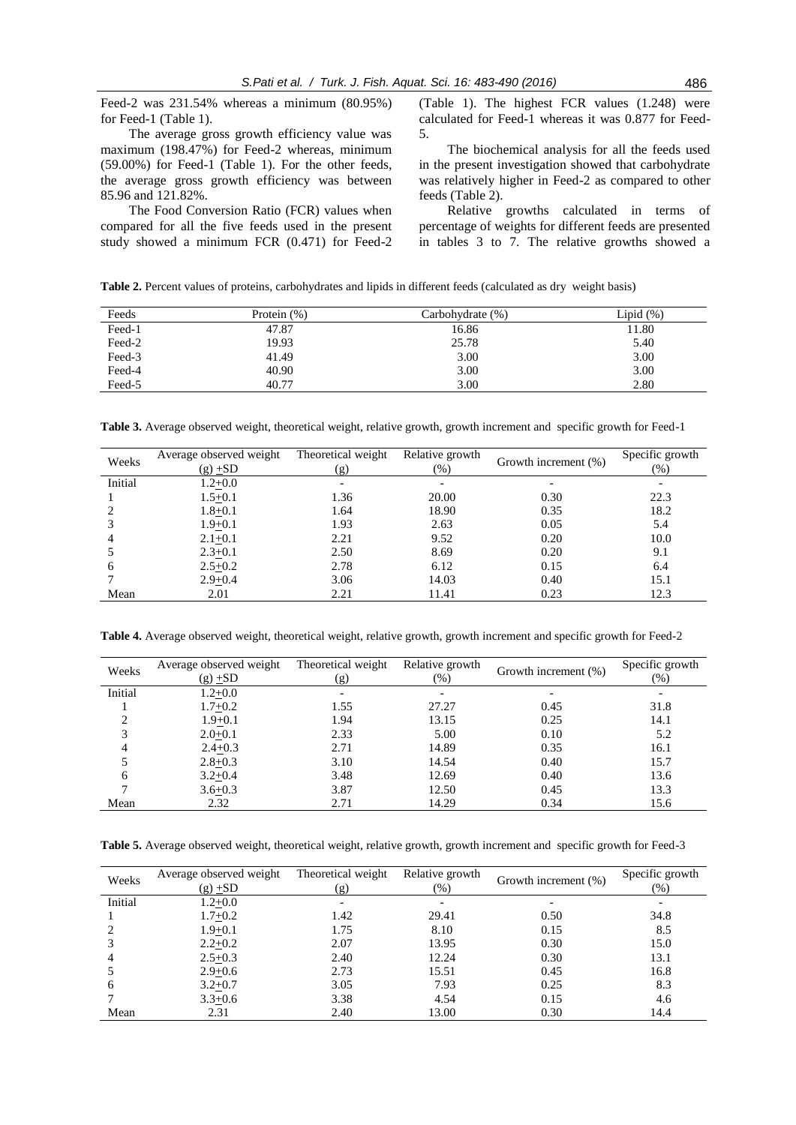Feed-2 was 231.54% whereas a minimum (80.95%) for Feed-1 (Table 1).

The average gross growth efficiency value was maximum (198.47%) for Feed-2 whereas, minimum (59.00%) for Feed-1 (Table 1). For the other feeds, the average gross growth efficiency was between 85.96 and 121.82%.

The Food Conversion Ratio (FCR) values when compared for all the five feeds used in the present study showed a minimum FCR (0.471) for Feed-2 (Table 1). The highest FCR values (1.248) were calculated for Feed-1 whereas it was 0.877 for Feed-5.

The biochemical analysis for all the feeds used in the present investigation showed that carbohydrate was relatively higher in Feed-2 as compared to other feeds (Table 2).

Relative growths calculated in terms of percentage of weights for different feeds are presented in tables 3 to 7. The relative growths showed a

**Table 2.** Percent values of proteins, carbohydrates and lipids in different feeds (calculated as dry weight basis)

| Feeds  | Protein $(\%)$ | Carbohydrate (%) | Lipid $(\%)$ |
|--------|----------------|------------------|--------------|
| Feed-1 | 47.87          | 16.86            | 11.80        |
| Feed-2 | 19.93          | 25.78            | 5.40         |
| Feed-3 | 41.49          | 3.00             | 3.00         |
| Feed-4 | 40.90          | 3.00             | 3.00         |
| Feed-5 | 40.77          | 3.00             | 2.80         |

**Table 3.** Average observed weight, theoretical weight, relative growth, growth increment and specific growth for Feed-1

| Weeks   | Average observed weight<br>$(g)$ +SD | Theoretical weight<br>(g) | Relative growth<br>$(\%)$ | Growth increment (%) | Specific growth<br>(%) |
|---------|--------------------------------------|---------------------------|---------------------------|----------------------|------------------------|
| Initial | $1.2 + 0.0$                          |                           |                           |                      |                        |
|         | $1.5+0.1$                            | 1.36                      | 20.00                     | 0.30                 | 22.3                   |
|         | $1.8 + 0.1$                          | 1.64                      | 18.90                     | 0.35                 | 18.2                   |
|         | $1.9 + 0.1$                          | 1.93                      | 2.63                      | 0.05                 | 5.4                    |
|         | $2.1 + 0.1$                          | 2.21                      | 9.52                      | 0.20                 | 10.0                   |
|         | $2.3 + 0.1$                          | 2.50                      | 8.69                      | 0.20                 | 9.1                    |
| 6       | $2.5 + 0.2$                          | 2.78                      | 6.12                      | 0.15                 | 6.4                    |
|         | $2.9 + 0.4$                          | 3.06                      | 14.03                     | 0.40                 | 15.1                   |
| Mean    | 2.01                                 | 2.21                      | 11.41                     | 0.23                 | 12.3                   |

**Table 4.** Average observed weight, theoretical weight, relative growth, growth increment and specific growth for Feed-2

| Weeks   | Average observed weight | Theoretical weight | Relative growth | Growth increment (%) | Specific growth |
|---------|-------------------------|--------------------|-----------------|----------------------|-----------------|
|         | $(g)$ +SD               | (g)                | $(\%)$          |                      | $(\% )$         |
| Initial | $1.2 + 0.0$             |                    |                 |                      |                 |
|         | $1.7 + 0.2$             | 1.55               | 27.27           | 0.45                 | 31.8            |
|         | $1.9 + 0.1$             | 1.94               | 13.15           | 0.25                 | 14.1            |
| 3       | $2.0 + 0.1$             | 2.33               | 5.00            | 0.10                 | 5.2             |
| 4       | $2.4 + 0.3$             | 2.71               | 14.89           | 0.35                 | 16.1            |
|         | $2.8 + 0.3$             | 3.10               | 14.54           | 0.40                 | 15.7            |
| 6       | $3.2 + 0.4$             | 3.48               | 12.69           | 0.40                 | 13.6            |
|         | $3.6 + 0.3$             | 3.87               | 12.50           | 0.45                 | 13.3            |
| Mean    | 2.32                    | 2.71               | 14.29           | 0.34                 | 15.6            |

**Table 5.** Average observed weight, theoretical weight, relative growth, growth increment and specific growth for Feed-3

| Weeks        | Average observed weight<br>$(g)$ +SD | Theoretical weight<br>(g) | Relative growth<br>$(\%)$ | Growth increment (%) | Specific growth<br>(%) |
|--------------|--------------------------------------|---------------------------|---------------------------|----------------------|------------------------|
| Initial      | $1.2 + 0.0$                          |                           |                           |                      |                        |
|              | $1.7 + 0.2$                          | 1.42                      | 29.41                     | 0.50                 | 34.8                   |
|              | $1.9 + 0.1$                          | 1.75                      | 8.10                      | 0.15                 | 8.5                    |
|              | $2.2 + 0.2$                          | 2.07                      | 13.95                     | 0.30                 | 15.0                   |
|              | $2.5 + 0.3$                          | 2.40                      | 12.24                     | 0.30                 | 13.1                   |
|              | $2.9 + 0.6$                          | 2.73                      | 15.51                     | 0.45                 | 16.8                   |
| <sub>(</sub> | $3.2 + 0.7$                          | 3.05                      | 7.93                      | 0.25                 | 8.3                    |
|              | $3.3 + 0.6$                          | 3.38                      | 4.54                      | 0.15                 | 4.6                    |
| Mean         | 2.31                                 | 2.40                      | 13.00                     | 0.30                 | 14.4                   |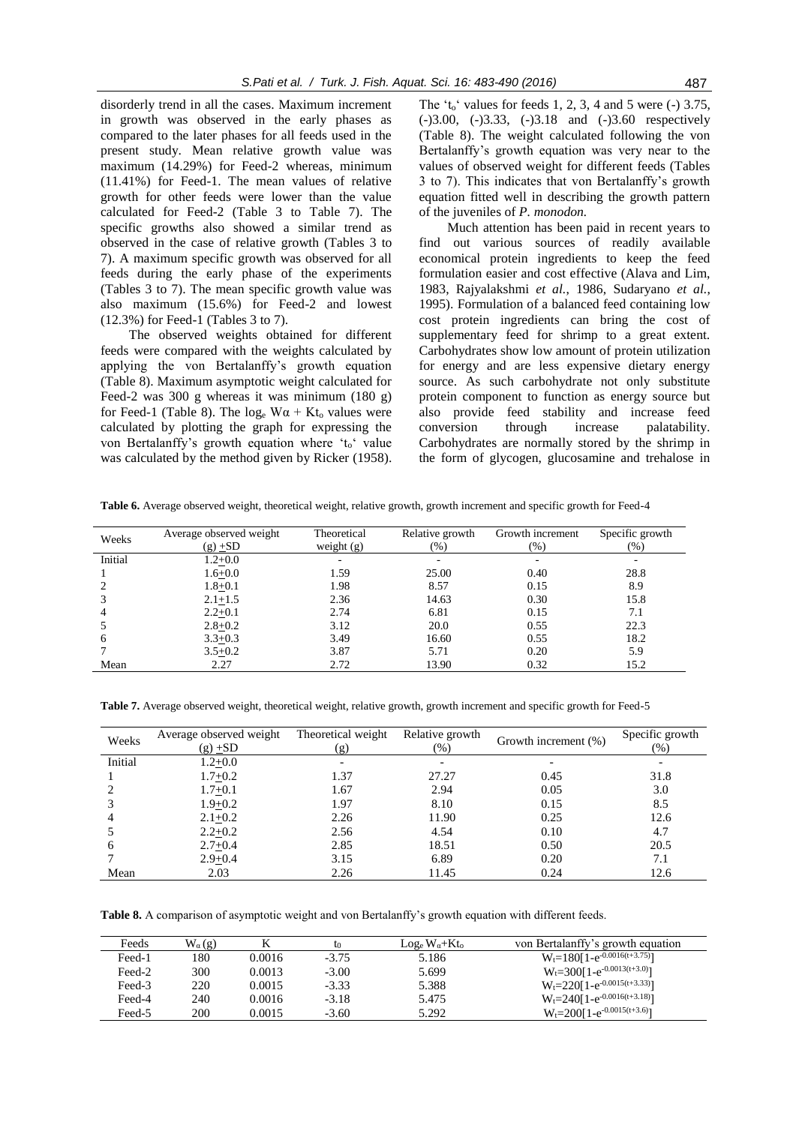disorderly trend in all the cases. Maximum increment in growth was observed in the early phases as compared to the later phases for all feeds used in the present study. Mean relative growth value was maximum (14.29%) for Feed-2 whereas, minimum (11.41%) for Feed-1. The mean values of relative growth for other feeds were lower than the value calculated for Feed-2 (Table 3 to Table 7). The specific growths also showed a similar trend as observed in the case of relative growth (Tables 3 to 7). A maximum specific growth was observed for all feeds during the early phase of the experiments (Tables 3 to 7). The mean specific growth value was also maximum (15.6%) for Feed-2 and lowest (12.3%) for Feed-1 (Tables 3 to 7).

The observed weights obtained for different feeds were compared with the weights calculated by applying the von Bertalanffy's growth equation (Table 8). Maximum asymptotic weight calculated for Feed-2 was 300 g whereas it was minimum (180 g) for Feed-1 (Table 8). The log<sub>e</sub>  $W\alpha + Kt_0$  values were calculated by plotting the graph for expressing the von Bertalanffy's growth equation where 't<sub>o</sub>' value was calculated by the method given by Ricker (1958). The 't<sub>o</sub>' values for feeds 1, 2, 3, 4 and 5 were  $(-)$  3.75, (-)3.00, (-)3.33, (-)3.18 and (-)3.60 respectively (Table 8). The weight calculated following the von Bertalanffy's growth equation was very near to the values of observed weight for different feeds (Tables 3 to 7). This indicates that von Bertalanffy's growth equation fitted well in describing the growth pattern of the juveniles of *P. monodon.*

Much attention has been paid in recent years to find out various sources of readily available economical protein ingredients to keep the feed formulation easier and cost effective (Alava and Lim, 1983, Rajyalakshmi *et al.*, 1986, Sudaryano *et al.*, 1995). Formulation of a balanced feed containing low cost protein ingredients can bring the cost of supplementary feed for shrimp to a great extent. Carbohydrates show low amount of protein utilization for energy and are less expensive dietary energy source. As such carbohydrate not only substitute protein component to function as energy source but also provide feed stability and increase feed conversion through increase palatability. Carbohydrates are normally stored by the shrimp in the form of glycogen, glucosamine and trehalose in

**Table 6.** Average observed weight, theoretical weight, relative growth, growth increment and specific growth for Feed-4

| Weeks   | Average observed weight<br>$(g) \pm SD$ | Theoretical<br>weight $(g)$ | Relative growth<br>(96) | Growth increment<br>$(\% )$ | Specific growth<br>$(\% )$ |
|---------|-----------------------------------------|-----------------------------|-------------------------|-----------------------------|----------------------------|
| Initial | $1.2 + 0.0$                             |                             |                         |                             |                            |
|         | $1.6 + 0.0$                             | 1.59                        | 25.00                   | 0.40                        | 28.8                       |
|         | $1.8 + 0.1$                             | 1.98                        | 8.57                    | 0.15                        | 8.9                        |
|         | $2.1 + 1.5$                             | 2.36                        | 14.63                   | 0.30                        | 15.8                       |
| 4       | $2.2 + 0.1$                             | 2.74                        | 6.81                    | 0.15                        | 7.1                        |
|         | $2.8 + 0.2$                             | 3.12                        | 20.0                    | 0.55                        | 22.3                       |
| 6       | $3.3 + 0.3$                             | 3.49                        | 16.60                   | 0.55                        | 18.2                       |
|         | $3.5 + 0.2$                             | 3.87                        | 5.71                    | 0.20                        | 5.9                        |
| Mean    | 2.27                                    | 2.72                        | 13.90                   | 0.32                        | 15.2                       |

**Table 7.** Average observed weight, theoretical weight, relative growth, growth increment and specific growth for Feed-5

| Weeks   | Average observed weight<br>$(g)$ +SD | Theoretical weight<br>(g) | Relative growth<br>$(\%)$ | Growth increment (%) | Specific growth<br>(%) |
|---------|--------------------------------------|---------------------------|---------------------------|----------------------|------------------------|
| Initial | $1.2 + 0.0$                          |                           |                           |                      |                        |
|         | $1.7 + 0.2$                          | 1.37                      | 27.27                     | 0.45                 | 31.8                   |
|         | $1.7 + 0.1$                          | 1.67                      | 2.94                      | 0.05                 | 3.0                    |
|         | $1.9 + 0.2$                          | 1.97                      | 8.10                      | 0.15                 | 8.5                    |
|         | $2.1 + 0.2$                          | 2.26                      | 11.90                     | 0.25                 | 12.6                   |
|         | $2.2 + 0.2$                          | 2.56                      | 4.54                      | 0.10                 | 4.7                    |
| h       | $2.7 + 0.4$                          | 2.85                      | 18.51                     | 0.50                 | 20.5                   |
|         | $2.9 + 0.4$                          | 3.15                      | 6.89                      | 0.20                 | 7.1                    |
| Mean    | 2.03                                 | 2.26                      | 11.45                     | 0.24                 | 12.6                   |

**Table 8.** A comparison of asymptotic weight and von Bertalanffy's growth equation with different feeds.

| Feeds  | $W_{\alpha}(g)$ |        | t0      | $\text{Log}_{e} W_{\alpha} + \text{Kt}_{o}$ | von Bertalanffy's growth equation     |
|--------|-----------------|--------|---------|---------------------------------------------|---------------------------------------|
| Feed-1 | 180             | 0.0016 | $-3.75$ | 5.186                                       | $W_t = 180[1-e^{-0.0016(t+3.75)}]$    |
| Feed-2 | 300             | 0.0013 | $-3.00$ | 5.699                                       | $W_t = 300[1 - e^{-0.0013(t + 3.0)}]$ |
| Feed-3 | 220             | 0.0015 | $-3.33$ | 5.388                                       | $W_t = 220[1-e^{-0.0015(t+3.33)}]$    |
| Feed-4 | 240             | 0.0016 | $-3.18$ | 5.475                                       | $W_t = 240[1-e^{-0.0016(t+3.18)}]$    |
| Feed-5 | 200             | 0.0015 | $-3.60$ | 5.292                                       | $W_t = 200[1 - e^{-0.0015(t + 3.6)}]$ |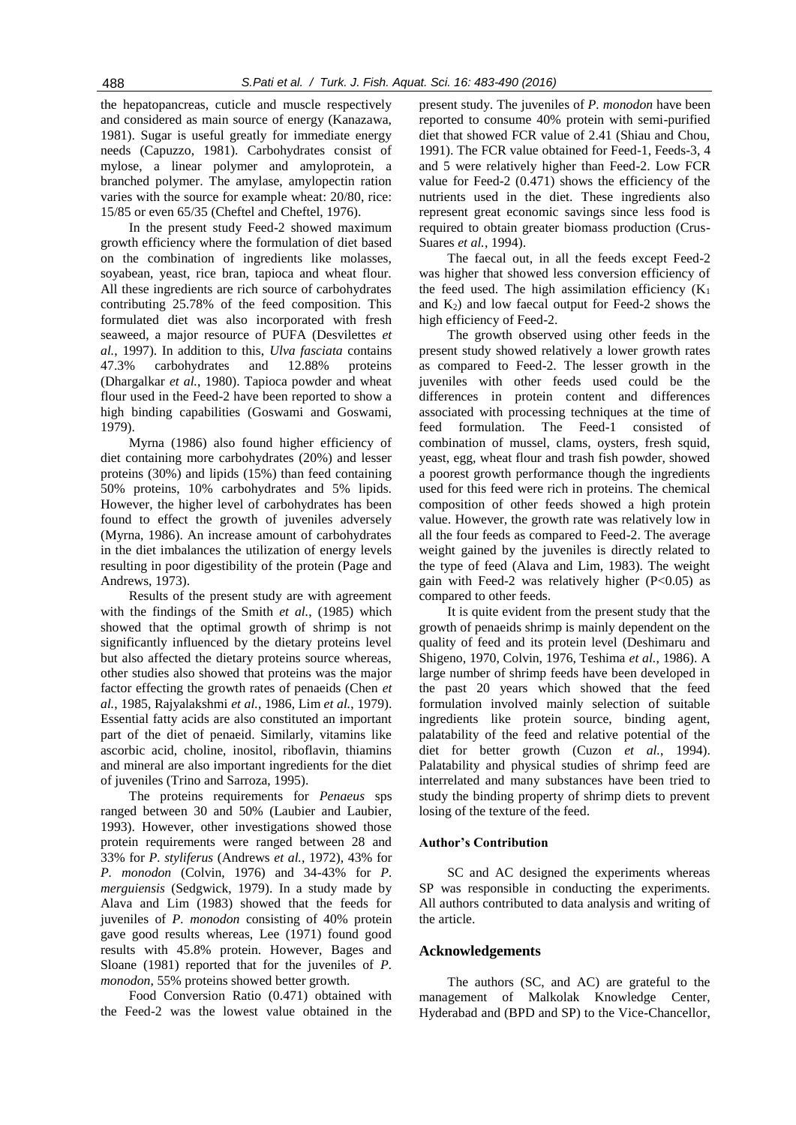the hepatopancreas, cuticle and muscle respectively and considered as main source of energy (Kanazawa, 1981). Sugar is useful greatly for immediate energy needs (Capuzzo, 1981). Carbohydrates consist of mylose, a linear polymer and amyloprotein, a branched polymer. The amylase, amylopectin ration varies with the source for example wheat: 20/80, rice: 15/85 or even 65/35 (Cheftel and Cheftel, 1976).

In the present study Feed-2 showed maximum growth efficiency where the formulation of diet based on the combination of ingredients like molasses, soyabean, yeast, rice bran, tapioca and wheat flour. All these ingredients are rich source of carbohydrates contributing 25.78% of the feed composition. This formulated diet was also incorporated with fresh seaweed, a major resource of PUFA (Desvilettes *et al.*, 1997). In addition to this, *Ulva fasciata* contains 47.3% carbohydrates and 12.88% proteins (Dhargalkar *et al.*, 1980). Tapioca powder and wheat flour used in the Feed-2 have been reported to show a high binding capabilities (Goswami and Goswami, 1979).

Myrna (1986) also found higher efficiency of diet containing more carbohydrates (20%) and lesser proteins (30%) and lipids (15%) than feed containing 50% proteins, 10% carbohydrates and 5% lipids. However, the higher level of carbohydrates has been found to effect the growth of juveniles adversely (Myrna, 1986). An increase amount of carbohydrates in the diet imbalances the utilization of energy levels resulting in poor digestibility of the protein (Page and Andrews, 1973).

Results of the present study are with agreement with the findings of the Smith *et al.*, (1985) which showed that the optimal growth of shrimp is not significantly influenced by the dietary proteins level but also affected the dietary proteins source whereas, other studies also showed that proteins was the major factor effecting the growth rates of penaeids (Chen *et al.*, 1985, Rajyalakshmi *et al.*, 1986, Lim *et al.*, 1979). Essential fatty acids are also constituted an important part of the diet of penaeid. Similarly, vitamins like ascorbic acid, choline, inositol, riboflavin, thiamins and mineral are also important ingredients for the diet of juveniles (Trino and Sarroza, 1995).

The proteins requirements for *Penaeus* sps ranged between 30 and 50% (Laubier and Laubier, 1993). However, other investigations showed those protein requirements were ranged between 28 and 33% for *P. styliferus* (Andrews *et al.*, 1972), 43% for *P. monodon* (Colvin, 1976) and 34-43% for *P. merguiensis* (Sedgwick, 1979). In a study made by Alava and Lim (1983) showed that the feeds for juveniles of *P. monodon* consisting of 40% protein gave good results whereas, Lee (1971) found good results with 45.8% protein. However, Bages and Sloane (1981) reported that for the juveniles of *P. monodon*, 55% proteins showed better growth.

Food Conversion Ratio (0.471) obtained with the Feed-2 was the lowest value obtained in the present study. The juveniles of *P. monodon* have been reported to consume 40% protein with semi-purified diet that showed FCR value of 2.41 (Shiau and Chou, 1991). The FCR value obtained for Feed-1, Feeds-3, 4 and 5 were relatively higher than Feed-2. Low FCR value for Feed-2 (0.471) shows the efficiency of the nutrients used in the diet. These ingredients also represent great economic savings since less food is required to obtain greater biomass production (Crus-Suares *et al.*, 1994).

The faecal out, in all the feeds except Feed-2 was higher that showed less conversion efficiency of the feed used. The high assimilation efficiency  $(K_1)$ and  $K_2$ ) and low faecal output for Feed-2 shows the high efficiency of Feed-2.

The growth observed using other feeds in the present study showed relatively a lower growth rates as compared to Feed-2. The lesser growth in the juveniles with other feeds used could be the differences in protein content and differences associated with processing techniques at the time of feed formulation. The Feed-1 consisted of combination of mussel, clams, oysters, fresh squid, yeast, egg, wheat flour and trash fish powder, showed a poorest growth performance though the ingredients used for this feed were rich in proteins. The chemical composition of other feeds showed a high protein value. However, the growth rate was relatively low in all the four feeds as compared to Feed-2. The average weight gained by the juveniles is directly related to the type of feed (Alava and Lim, 1983). The weight gain with Feed-2 was relatively higher (P<0.05) as compared to other feeds.

It is quite evident from the present study that the growth of penaeids shrimp is mainly dependent on the quality of feed and its protein level (Deshimaru and Shigeno, 1970, Colvin, 1976, Teshima *et al.*, 1986). A large number of shrimp feeds have been developed in the past 20 years which showed that the feed formulation involved mainly selection of suitable ingredients like protein source, binding agent, palatability of the feed and relative potential of the diet for better growth (Cuzon *et al.*, 1994). Palatability and physical studies of shrimp feed are interrelated and many substances have been tried to study the binding property of shrimp diets to prevent losing of the texture of the feed.

### **Author's Contribution**

SC and AC designed the experiments whereas SP was responsible in conducting the experiments. All authors contributed to data analysis and writing of the article.

### **Acknowledgements**

The authors (SC, and AC) are grateful to the management of Malkolak Knowledge Center, Hyderabad and (BPD and SP) to the Vice-Chancellor,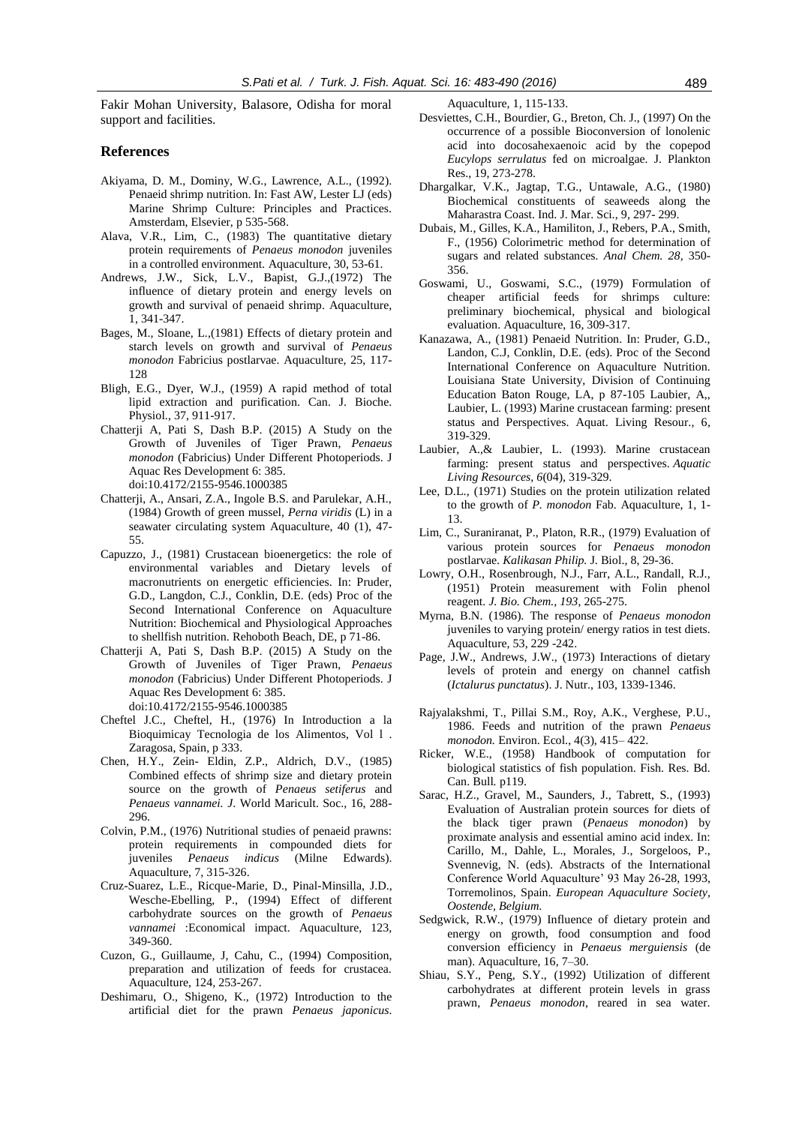Fakir Mohan University, Balasore, Odisha for moral support and facilities.

#### **References**

- Akiyama, D. M., Dominy, W.G., Lawrence, A.L., (1992). Penaeid shrimp nutrition. In: Fast AW, Lester LJ (eds) Marine Shrimp Culture: Principles and Practices. Amsterdam, Elsevier, p 535-568.
- Alava, V.R., Lim, C., (1983) The quantitative dietary protein requirements of *Penaeus monodon* juveniles in a controlled environment*.* Aquaculture, 30, 53-61.
- Andrews, J.W., Sick, L.V., Bapist, G.J.,(1972) The influence of dietary protein and energy levels on growth and survival of penaeid shrimp. Aquaculture, 1, 341-347.
- Bages, M., Sloane, L.,(1981) Effects of dietary protein and starch levels on growth and survival of *Penaeus monodon* Fabricius postlarvae. Aquaculture, 25, 117- 128
- Bligh, E.G., Dyer, W.J., (1959) A rapid method of total lipid extraction and purification. Can. J. Bioche. Physiol., 37, 911-917.
- Chatterji A, Pati S, Dash B.P. (2015) A Study on the Growth of Juveniles of Tiger Prawn, *Penaeus monodon* (Fabricius) Under Different Photoperiods. J Aquac Res Development 6: 385. doi:10.4172/2155-9546.1000385
- Chatterji, A., Ansari, Z.A., Ingole B.S. and Parulekar, A.H., (1984) Growth of green mussel, *Perna viridis* (L) in a seawater circulating system Aquaculture, 40 (1), 47- 55.
- Capuzzo, J., (1981) Crustacean bioenergetics: the role of environmental variables and Dietary levels of macronutrients on energetic efficiencies. In: Pruder, G.D., Langdon, C.J., Conklin, D.E. (eds) Proc of the Second International Conference on Aquaculture Nutrition: Biochemical and Physiological Approaches to shellfish nutrition. Rehoboth Beach, DE, p 71-86.
- Chatterji A, Pati S, Dash B.P. (2015) A Study on the Growth of Juveniles of Tiger Prawn, *Penaeus monodon* (Fabricius) Under Different Photoperiods. J Aquac Res Development 6: 385. doi:10.4172/2155-9546.1000385
- Cheftel J.C., Cheftel, H., (1976) In Introduction a la Bioquimicay Tecnologia de los Alimentos, Vol l . Zaragosa, Spain, p 333.
- Chen, H.Y., Zein- Eldin, Z.P., Aldrich, D.V., (1985) Combined effects of shrimp size and dietary protein source on the growth of *Penaeus setiferus* and *Penaeus vannamei. J*. World Maricult. Soc., 16, 288- 296.
- Colvin, P.M., (1976) Nutritional studies of penaeid prawns: protein requirements in compounded diets for juveniles *Penaeus indicus* (Milne Edwards). Aquaculture, 7*,* 315-326.
- Cruz-Suarez, L.E., Ricque-Marie, D., Pinal-Minsilla, J.D., Wesche-Ebelling, P., (1994) Effect of different carbohydrate sources on the growth of *Penaeus vannamei* :Economical impact. Aquaculture, 123, 349-360.
- Cuzon, G., Guillaume, J, Cahu, C., (1994) Composition, preparation and utilization of feeds for crustacea. Aquaculture, 124*,* 253-267.
- Deshimaru, O., Shigeno, K., (1972) Introduction to the artificial diet for the prawn *Penaeus japonicus.*

Aquaculture, 1*,* 115-133.

- Desviettes, C.H., Bourdier, G., Breton, Ch. J., (1997) On the occurrence of a possible Bioconversion of lonolenic acid into docosahexaenoic acid by the copepod *Eucylops serrulatus* fed on microalgae. J. Plankton Res., 19, 273-278.
- Dhargalkar, V.K., Jagtap, T.G., Untawale, A.G., (1980) Biochemical constituents of seaweeds along the Maharastra Coast. Ind. J. Mar. Sci., 9*,* 297- 299.
- Dubais, M., Gilles, K.A., Hamiliton, J., Rebers, P.A., Smith, F., (1956) Colorimetric method for determination of sugars and related substances*. Anal Chem. 28,* 350- 356.
- Goswami, U., Goswami, S.C., (1979) Formulation of cheaper artificial feeds for shrimps culture: preliminary biochemical, physical and biological evaluation. Aquaculture, 16, 309-317.
- Kanazawa, A., (1981) Penaeid Nutrition. In: Pruder, G.D., Landon, C.J, Conklin, D.E. (eds). Proc of the Second International Conference on Aquaculture Nutrition. Louisiana State University, Division of Continuing Education Baton Rouge, LA, p 87-105 Laubier, A,, Laubier, L. (1993) Marine crustacean farming: present status and Perspectives. Aquat. Living Resour., 6*,* 319-329.
- Laubier, A.,& Laubier, L. (1993). Marine crustacean farming: present status and perspectives. *Aquatic Living Resources*, *6*(04), 319-329.
- Lee, D.L., (1971) Studies on the protein utilization related to the growth of *P. monodon* Fab. Aquaculture, 1, 1- 13.
- Lim, C., Suraniranat, P., Platon, R.R., (1979) Evaluation of various protein sources for *Penaeus monodon*  postlarvae. *Kalikasan Philip.* J. Biol., 8, 29-36.
- Lowry, O.H., Rosenbrough, N.J., Farr, A.L., Randall, R.J., (1951) Protein measurement with Folin phenol reagent. *J. Bio. Chem., 193*, 265-275.
- Myrna, B.N. (1986). The response of *Penaeus monodon* juveniles to varying protein/ energy ratios in test diets. Aquaculture, 53, 229 -242.
- Page, J.W., Andrews, J.W., (1973) Interactions of dietary levels of protein and energy on channel catfish (*Ictalurus punctatus*). J. Nutr., 103, 1339-1346.
- Rajyalakshmi, T., Pillai S.M., Roy, A.K., Verghese, P.U., 1986. Feeds and nutrition of the prawn *Penaeus monodon.* Environ. Ecol., 4(3), 415– 422.
- Ricker, W.E., (1958) Handbook of computation for biological statistics of fish population. Fish. Res. Bd. Can. Bull*.* p119.
- Sarac, H.Z., Gravel, M., Saunders, J., Tabrett, S., (1993) Evaluation of Australian protein sources for diets of the black tiger prawn (*Penaeus monodon*) by proximate analysis and essential amino acid index. In: Carillo, M., Dahle, L., Morales, J., Sorgeloos, P., Svennevig, N. (eds). Abstracts of the International Conference World Aquaculture' 93 May 26-28, 1993, Torremolinos, Spain. *European Aquaculture Society, Oostende, Belgium*.
- Sedgwick, R.W., (1979) Influence of dietary protein and energy on growth, food consumption and food conversion efficiency in *Penaeus merguiensis* (de man). Aquaculture, 16*,* 7–30.
- Shiau, S.Y., Peng, S.Y., (1992) Utilization of different carbohydrates at different protein levels in grass prawn, *Penaeus monodon*, reared in sea water.